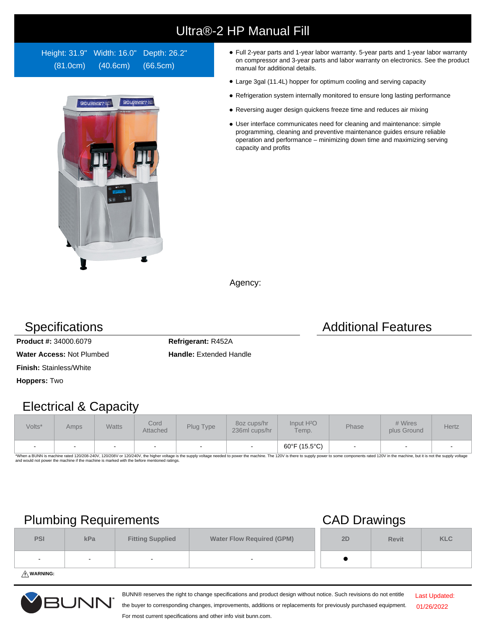# Ultra®-2 HP Manual Fill

Height: 31.9" Width: 16.0" Depth: 26.2" (81.0cm) (40.6cm) (66.5cm)



- Full 2-year parts and 1-year labor warranty. 5-year parts and 1-year labor warranty on compressor and 3-year parts and labor warranty on electronics. See the product manual for additional details.
- Large 3gal (11.4L) hopper for optimum cooling and serving capacity
- Refrigeration system internally monitored to ensure long lasting performance
- Reversing auger design quickens freeze time and reduces air mixing
- User interface communicates need for cleaning and maintenance: simple programming, cleaning and preventive maintenance guides ensure reliable operation and performance – minimizing down time and maximizing serving capacity and profits

Agency:

**Product #:** 34000.6079 **Refrigerant:** R452A

**Water Access: Not Plumbed <b>Handle:** Extended Handle

**Finish:** Stainless/White

**Hoppers:** Two

### Electrical & Capacity

| Volts* | Amps   | <b>Watts</b> | Cord<br>Attached | Plug Type                | 8oz cups/hr<br>236ml cups/hr | Input H <sup>2</sup> O<br>Temp. | Phase                    | # Wires<br>plus Ground | Hertz |
|--------|--------|--------------|------------------|--------------------------|------------------------------|---------------------------------|--------------------------|------------------------|-------|
| $\sim$ | $\sim$ | $\sim$       | -                | $\overline{\phantom{0}}$ | $\sim$                       | 60°F (15.5°C)                   | $\overline{\phantom{a}}$ |                        |       |

\*When a BUNN is machine rated 120/208-240V, 120/208V or 120/240V, the higher voltage is the supply voltage needed to power the machine. The 120V is there to supply power to some components rated 120V in the machine, but it

## Plumbing Requirements CAD Drawings

|                          | $\sim$ |                         | . .                              |    |              |            |
|--------------------------|--------|-------------------------|----------------------------------|----|--------------|------------|
| <b>PSI</b>               | kPa    | <b>Fitting Supplied</b> | <b>Water Flow Required (GPM)</b> | 2D | <b>Revit</b> | <b>KLC</b> |
| $\overline{\phantom{0}}$ | $\sim$ |                         | -                                |    |              |            |
|                          |        |                         |                                  |    |              |            |

**WARNING:**



BUNN® reserves the right to change specifications and product design without notice. Such revisions do not entitle

Last Updated: 01/26/2022

the buyer to corresponding changes, improvements, additions or replacements for previously purchased equipment. For most current specifications and other info visit bunn.com.

### Specifications **Additional Features** Additional Features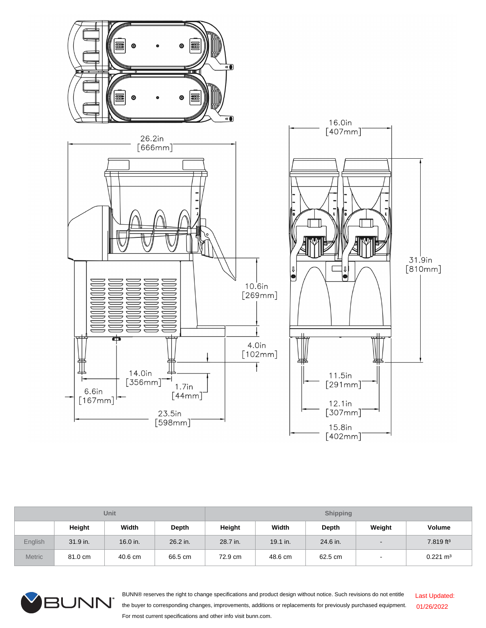

| <b>Unit</b>    |          |          |          | <b>Shipping</b> |          |          |        |                       |  |
|----------------|----------|----------|----------|-----------------|----------|----------|--------|-----------------------|--|
|                | Height   | Width    | Depth    | Height          | Width    | Depth    | Weight | <b>Volume</b>         |  |
| <b>English</b> | 31.9 in. | 16.0 in. | 26.2 in. | 28.7 in.        | 19.1 in. | 24.6 in. | -      | 7.819 ft <sup>3</sup> |  |
| <b>Metric</b>  | 81.0 cm  | 40.6 cm  | 66.5 cm  | 72.9 cm         | 48.6 cm  | 62.5 cm  |        | $0.221 \text{ m}^3$   |  |



BUNN® reserves the right to change specifications and product design without notice. Such revisions do not entitle the buyer to corresponding changes, improvements, additions or replacements for previously purchased equipment. For most current specifications and other info visit bunn.com. Last Updated: 01/26/2022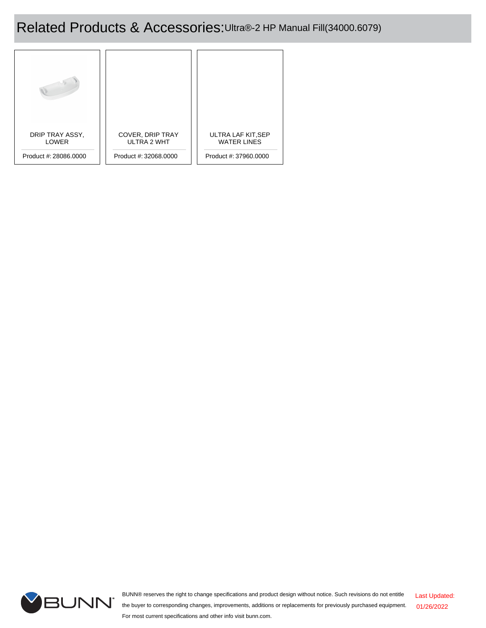## Related Products & Accessories:Ultra®-2 HP Manual Fill(34000.6079)